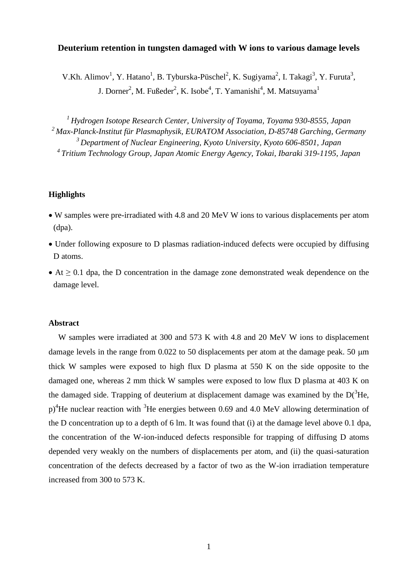## **Deuterium retention in tungsten damaged with W ions to various damage levels**

V.Kh. Alimov<sup>1</sup>, Y. Hatano<sup>1</sup>, B. Tyburska-Püschel<sup>2</sup>, K. Sugiyama<sup>2</sup>, I. Takagi<sup>3</sup>, Y. Furuta<sup>3</sup>, J. Dorner<sup>2</sup>, M. Fußeder<sup>2</sup>, K. Isobe<sup>4</sup>, T. Yamanishi<sup>4</sup>, M. Matsuyama<sup>1</sup>

 *Hydrogen Isotope Research Center, University of Toyama, Toyama 930-8555, Japan Max-Planck-Institut für Plasmaphysik, EURATOM Association, D-85748 Garching, Germany Department of Nuclear Engineering, Kyoto University, Kyoto 606-8501, Japan Tritium Technology Group, Japan Atomic Energy Agency, Tokai, Ibaraki 319-1195, Japan*

## **Highlights**

- W samples were pre-irradiated with 4.8 and 20 MeV W ions to various displacements per atom (dpa).
- Under following exposure to D plasmas radiation-induced defects were occupied by diffusing D atoms.
- $\blacktriangleright$  At  $\geq$  0.1 dpa, the D concentration in the damage zone demonstrated weak dependence on the damage level.

### **Abstract**

W samples were irradiated at 300 and 573 K with 4.8 and 20 MeV W ions to displacement damage levels in the range from  $0.022$  to 50 displacements per atom at the damage peak. 50  $\mu$ m thick W samples were exposed to high flux D plasma at 550 K on the side opposite to the damaged one, whereas 2 mm thick W samples were exposed to low flux D plasma at 403 K on the damaged side. Trapping of deuterium at displacement damage was examined by the  $D(^3He$ ,  $p$ <sup>4</sup>He nuclear reaction with <sup>3</sup>He energies between 0.69 and 4.0 MeV allowing determination of the D concentration up to a depth of 6 lm. It was found that (i) at the damage level above 0.1 dpa, the concentration of the W-ion-induced defects responsible for trapping of diffusing D atoms depended very weakly on the numbers of displacements per atom, and (ii) the quasi-saturation concentration of the defects decreased by a factor of two as the W-ion irradiation temperature increased from 300 to 573 K.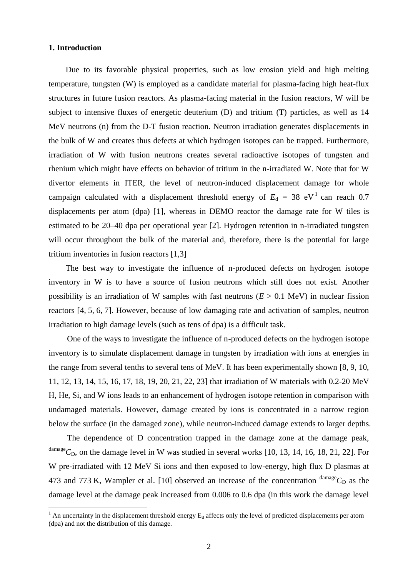### **1. Introduction**

 $\overline{a}$ 

Due to its favorable physical properties, such as low erosion yield and high melting temperature, tungsten (W) is employed as a candidate material for plasma-facing high heat-flux structures in future fusion reactors. As plasma-facing material in the fusion reactors, W will be subject to intensive fluxes of energetic deuterium (D) and tritium (T) particles, as well as 14 MeV neutrons (n) from the D-T fusion reaction. Neutron irradiation generates displacements in the bulk of W and creates thus defects at which hydrogen isotopes can be trapped. Furthermore, irradiation of W with fusion neutrons creates several radioactive isotopes of tungsten and rhenium which might have effects on behavior of tritium in the n-irradiated W. Note that for W divertor elements in ITER, the level of neutron-induced displacement damage for whole campaign calculated with a displacement threshold energy of  $E_d = 38$  eV<sup>1</sup> can reach 0.7 displacements per atom (dpa) [1], whereas in DEMO reactor the damage rate for W tiles is estimated to be 20–40 dpa per operational year [2]. Hydrogen retention in n-irradiated tungsten will occur throughout the bulk of the material and, therefore, there is the potential for large tritium inventories in fusion reactors [1,3]

The best way to investigate the influence of n-produced defects on hydrogen isotope inventory in W is to have a source of fusion neutrons which still does not exist. Another possibility is an irradiation of W samples with fast neutrons  $(E > 0.1 \text{ MeV})$  in nuclear fission reactors [4, 5, 6, 7]. However, because of low damaging rate and activation of samples, neutron irradiation to high damage levels (such as tens of dpa) is a difficult task.

One of the ways to investigate the influence of n-produced defects on the hydrogen isotope inventory is to simulate displacement damage in tungsten by irradiation with ions at energies in the range from several tenths to several tens of MeV. It has been experimentally shown [8, 9, 10, 11, 12, 13, 14, 15, 16, 17, 18, 19, 20, 21, 22, 23] that irradiation of W materials with 0.2-20 MeV H, He, Si, and W ions leads to an enhancement of hydrogen isotope retention in comparison with undamaged materials. However, damage created by ions is concentrated in a narrow region below the surface (in the damaged zone), while neutron-induced damage extends to larger depths.

The dependence of D concentration trapped in the damage zone at the damage peak,  $^{\text{damage}}C_{\text{D}}$ , on the damage level in W was studied in several works [10, 13, 14, 16, 18, 21, 22]. For W pre-irradiated with 12 MeV Si ions and then exposed to low-energy, high flux D plasmas at 473 and 773 K, Wampler et al. [10] observed an increase of the concentration  $\text{d}$ <sup>damage</sup> $C_D$  as the damage level at the damage peak increased from 0.006 to 0.6 dpa (in this work the damage level

<sup>&</sup>lt;sup>1</sup> An uncertainty in the displacement threshold energy  $E_d$  affects only the level of predicted displacements per atom (dpa) and not the distribution of this damage.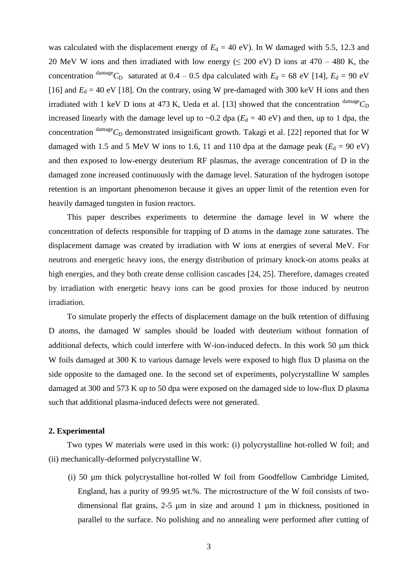was calculated with the displacement energy of  $E_d = 40$  eV). In W damaged with 5.5, 12.3 and 20 MeV W ions and then irradiated with low energy ( $\leq$  200 eV) D ions at 470 – 480 K, the concentration <sup>damage</sup>C<sub>D</sub> saturated at 0.4 – 0.5 dpa calculated with  $E_d = 68$  eV [14],  $E_d = 90$  eV [16] and  $E_d = 40$  eV [18]. On the contrary, using W pre-damaged with 300 keV H ions and then irradiated with 1 keV D ions at 473 K, Ueda et al. [13] showed that the concentration  $\frac{\text{damage}}{C_D}$ increased linearly with the damage level up to  $\sim 0.2$  dpa ( $E_d = 40$  eV) and then, up to 1 dpa, the concentration  $\text{d}^{\text{anage}}C_{\text{D}}$  demonstrated insignificant growth. Takagi et al. [22] reported that for W damaged with 1.5 and 5 MeV W ions to 1.6, 11 and 110 dpa at the damage peak  $(E_d = 90 \text{ eV})$ and then exposed to low-energy deuterium RF plasmas, the average concentration of D in the damaged zone increased continuously with the damage level. Saturation of the hydrogen isotope retention is an important phenomenon because it gives an upper limit of the retention even for heavily damaged tungsten in fusion reactors.

This paper describes experiments to determine the damage level in W where the concentration of defects responsible for trapping of D atoms in the damage zone saturates. The displacement damage was created by irradiation with W ions at energies of several MeV. For neutrons and energetic heavy ions, the energy distribution of primary knock-on atoms peaks at high energies, and they both create dense collision cascades [24, 25]. Therefore, damages created by irradiation with energetic heavy ions can be good proxies for those induced by neutron irradiation.

To simulate properly the effects of displacement damage on the bulk retention of diffusing D atoms, the damaged W samples should be loaded with deuterium without formation of additional defects, which could interfere with W-ion-induced defects. In this work 50 µm thick W foils damaged at 300 K to various damage levels were exposed to high flux D plasma on the side opposite to the damaged one. In the second set of experiments, polycrystalline W samples damaged at 300 and 573 K up to 50 dpa were exposed on the damaged side to low-flux D plasma such that additional plasma-induced defects were not generated.

# **2. Experimental**

Two types W materials were used in this work: (i) polycrystalline hot-rolled W foil; and (ii) mechanically-deformed polycrystalline W.

(i) 50 µm thick polycrystalline hot-rolled W foil from Goodfellow Cambridge Limited, England, has a purity of 99.95 wt.%. The microstructure of the W foil consists of twodimensional flat grains, 2-5 µm in size and around 1 µm in thickness, positioned in parallel to the surface. No polishing and no annealing were performed after cutting of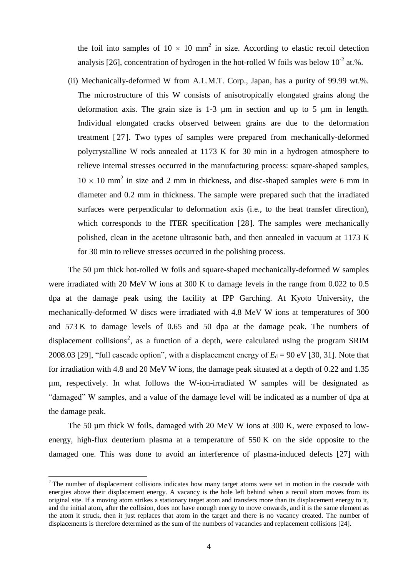the foil into samples of  $10 \times 10$  mm<sup>2</sup> in size. According to elastic recoil detection analysis [26], concentration of hydrogen in the hot-rolled W foils was below  $10^{-2}$  at.%.

(ii) Mechanically-deformed W from A.L.M.T. Corp., Japan, has a purity of 99.99 wt.%. The microstructure of this W consists of anisotropically elongated grains along the deformation axis. The grain size is 1-3 µm in section and up to 5 µm in length. Individual elongated cracks observed between grains are due to the deformation treatment [27]. Two types of samples were prepared from mechanically-deformed polycrystalline W rods annealed at 1173 K for 30 min in a hydrogen atmosphere to relieve internal stresses occurred in the manufacturing process: square-shaped samples,  $10 \times 10$  mm<sup>2</sup> in size and 2 mm in thickness, and disc-shaped samples were 6 mm in diameter and 0.2 mm in thickness. The sample were prepared such that the irradiated surfaces were perpendicular to deformation axis (i.e., to the heat transfer direction), which corresponds to the ITER specification [28]. The samples were mechanically polished, clean in the acetone ultrasonic bath, and then annealed in vacuum at 1173 K for 30 min to relieve stresses occurred in the polishing process.

The 50 µm thick hot-rolled W foils and square-shaped mechanically-deformed W samples were irradiated with 20 MeV W ions at 300 K to damage levels in the range from 0.022 to 0.5 dpa at the damage peak using the facility at IPP Garching. At Kyoto University, the mechanically-deformed W discs were irradiated with 4.8 MeV W ions at temperatures of 300 and 573 K to damage levels of 0.65 and 50 dpa at the damage peak. The numbers of displacement collisions<sup>2</sup>, as a function of a depth, were calculated using the program SRIM 2008.03 [29], "full cascade option", with a displacement energy of  $E_d = 90 \text{ eV}$  [30, 31]. Note that for irradiation with 4.8 and 20 MeV W ions, the damage peak situated at a depth of 0.22 and 1.35 µm, respectively. In what follows the W-ion-irradiated W samples will be designated as "damaged" W samples, and a value of the damage level will be indicated as a number of dpa at the damage peak.

The 50 µm thick W foils, damaged with 20 MeV W ions at 300 K, were exposed to lowenergy, high-flux deuterium plasma at a temperature of 550 K on the side opposite to the damaged one. This was done to avoid an interference of plasma-induced defects [27] with

 $2^{2}$  The number of displacement collisions indicates how many target atoms were set in motion in the cascade with energies above their displacement energy. A vacancy is the hole left behind when a recoil atom moves from its original site. If a moving atom strikes a stationary target atom and transfers more than its displacement energy to it, and the initial atom, after the collision, does not have enough energy to move onwards, and it is the same element as the atom it struck, then it just replaces that atom in the target and there is no vacancy created. The number of displacements is therefore determined as the sum of the numbers of vacancies and replacement collisions [24].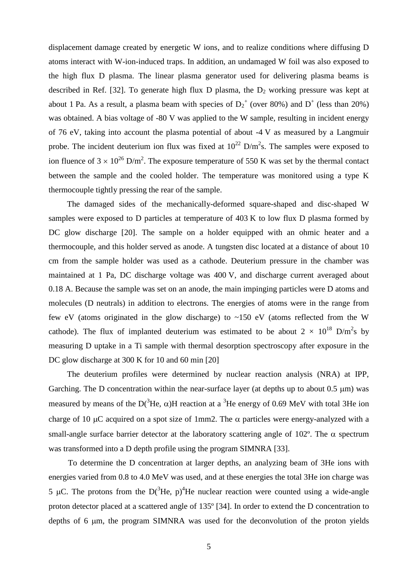displacement damage created by energetic W ions, and to realize conditions where diffusing D atoms interact with W-ion-induced traps. In addition, an undamaged W foil was also exposed to the high flux D plasma. The linear plasma generator used for delivering plasma beams is described in Ref. [32]. To generate high flux D plasma, the  $D_2$  working pressure was kept at about 1 Pa. As a result, a plasma beam with species of  $D_2^+$  (over 80%) and  $D^+$  (less than 20%) was obtained. A bias voltage of -80 V was applied to the W sample, resulting in incident energy of 76 eV, taking into account the plasma potential of about -4 V as measured by a Langmuir probe. The incident deuterium ion flux was fixed at  $10^{22}$  D/m<sup>2</sup>s. The samples were exposed to ion fluence of  $3 \times 10^{26}$  D/m<sup>2</sup>. The exposure temperature of 550 K was set by the thermal contact between the sample and the cooled holder. The temperature was monitored using a type K thermocouple tightly pressing the rear of the sample.

The damaged sides of the mechanically-deformed square-shaped and disc-shaped W samples were exposed to D particles at temperature of 403 K to low flux D plasma formed by DC glow discharge [20]. The sample on a holder equipped with an ohmic heater and a thermocouple, and this holder served as anode. A tungsten disc located at a distance of about 10 cm from the sample holder was used as a cathode. Deuterium pressure in the chamber was maintained at 1 Pa, DC discharge voltage was 400 V, and discharge current averaged about 0.18 A. Because the sample was set on an anode, the main impinging particles were D atoms and molecules (D neutrals) in addition to electrons. The energies of atoms were in the range from few eV (atoms originated in the glow discharge) to  $~150$  eV (atoms reflected from the W cathode). The flux of implanted deuterium was estimated to be about  $2 \times 10^{18}$  D/m<sup>2</sup>s by measuring D uptake in a Ti sample with thermal desorption spectroscopy after exposure in the DC glow discharge at 300 K for 10 and 60 min [20]

The deuterium profiles were determined by nuclear reaction analysis (NRA) at IPP, Garching. The D concentration within the near-surface layer (at depths up to about  $0.5 \mu m$ ) was measured by means of the  $D(^{3}He, \alpha)H$  reaction at a <sup>3</sup>He energy of 0.69 MeV with total 3He ion charge of 10  $\mu$ C acquired on a spot size of 1mm2. The  $\alpha$  particles were energy-analyzed with a small-angle surface barrier detector at the laboratory scattering angle of 102 $^{\circ}$ . The  $\alpha$  spectrum was transformed into a D depth profile using the program SIMNRA [33].

To determine the D concentration at larger depths, an analyzing beam of 3He ions with energies varied from 0.8 to 4.0 MeV was used, and at these energies the total 3He ion charge was 5 µC. The protons from the  $D(^{3}He, p)^{4}He$  nuclear reaction were counted using a wide-angle proton detector placed at a scattered angle of 135º [34]. In order to extend the D concentration to depths of  $6 \mu m$ , the program SIMNRA was used for the deconvolution of the proton yields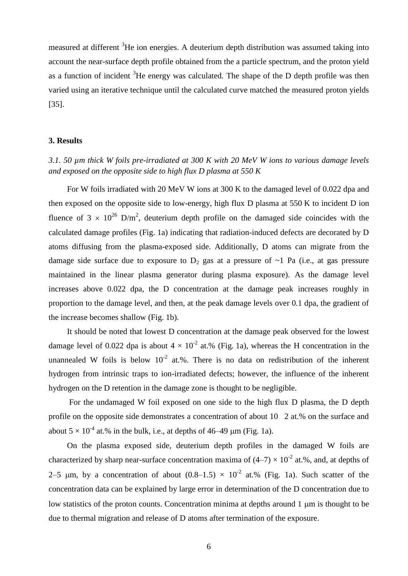measured at different <sup>3</sup>He ion energies. A deuterium depth distribution was assumed taking into account the near-surface depth profile obtained from the a particle spectrum, and the proton yield as a function of incident  ${}^{3}$ He energy was calculated. The shape of the D depth profile was then varied using an iterative technique until the calculated curve matched the measured proton yields [35].

### **3. Results**

# *3.1. 50 µm thick W foils pre-irradiated at 300 K with 20 MeV W ions to various damage levels and exposed on the opposite side to high flux D plasma at 550 K*

For W foils irradiated with 20 MeV W ions at 300 K to the damaged level of 0.022 dpa and then exposed on the opposite side to low-energy, high flux D plasma at 550 K to incident D ion fluence of  $3 \times 10^{26}$  D/m<sup>2</sup>, deuterium depth profile on the damaged side coincides with the calculated damage profiles (Fig. 1a) indicating that radiation-induced defects are decorated by D atoms diffusing from the plasma-exposed side. Additionally, D atoms can migrate from the damage side surface due to exposure to  $D_2$  gas at a pressure of  $\sim$ 1 Pa (i.e., at gas pressure maintained in the linear plasma generator during plasma exposure). As the damage level increases above 0.022 dpa, the D concentration at the damage peak increases roughly in proportion to the damage level, and then, at the peak damage levels over 0.1 dpa, the gradient of the increase becomes shallow (Fig. 1b).

It should be noted that lowest D concentration at the damage peak observed for the lowest damage level of 0.022 dpa is about  $4 \times 10^{-2}$  at.% (Fig. 1a), whereas the H concentration in the unannealed W foils is below  $10^{-2}$  at.%. There is no data on redistribution of the inherent hydrogen from intrinsic traps to ion-irradiated defects; however, the influence of the inherent hydrogen on the D retention in the damage zone is thought to be negligible.

For the undamaged W foil exposed on one side to the high flux D plasma, the D depth profile on the opposite side demonstrates a concentration of about  $10\,2$  at.% on the surface and about  $5 \times 10^{-4}$  at.% in the bulk, i.e., at depths of 46–49 µm (Fig. 1a).

On the plasma exposed side, deuterium depth profiles in the damaged W foils are characterized by sharp near-surface concentration maxima of  $(4-7) \times 10^{-2}$  at.%, and, at depths of 2–5 µm, by a concentration of about  $(0.8-1.5) \times 10^{-2}$  at.% (Fig. 1a). Such scatter of the concentration data can be explained by large error in determination of the D concentration due to low statistics of the proton counts. Concentration minima at depths around  $1 \mu m$  is thought to be due to thermal migration and release of D atoms after termination of the exposure.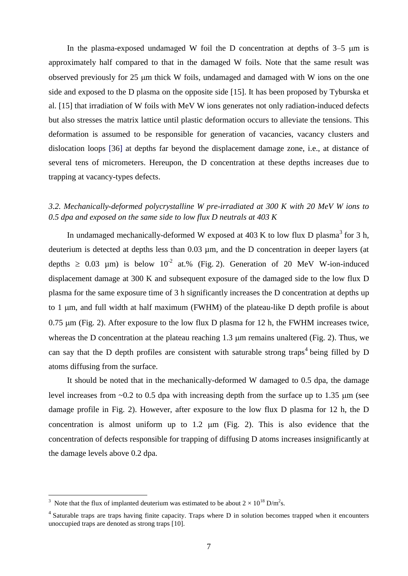In the plasma-exposed undamaged W foil the D concentration at depths of  $3-5 \mu m$  is approximately half compared to that in the damaged W foils. Note that the same result was observed previously for 25 µm thick W foils, undamaged and damaged with W ions on the one side and exposed to the D plasma on the opposite side [15]. It has been proposed by Tyburska et al. [15] that irradiation of W foils with MeV W ions generates not only radiation-induced defects but also stresses the matrix lattice until plastic deformation occurs to alleviate the tensions. This deformation is assumed to be responsible for generation of vacancies, vacancy clusters and dislocation loops [36] at depths far beyond the displacement damage zone, i.e., at distance of several tens of micrometers. Hereupon, the D concentration at these depths increases due to trapping at vacancy-types defects.

# *3.2. Mechanically-deformed polycrystalline W pre-irradiated at 300 K with 20 MeV W ions to 0.5 dpa and exposed on the same side to low flux D neutrals at 403 K*

In undamaged mechanically-deformed W exposed at 403 K to low flux D plasma<sup>3</sup> for 3 h, deuterium is detected at depths less than 0.03 µm, and the D concentration in deeper layers (at depths  $\geq 0.03$  µm) is below 10<sup>-2</sup> at.% (Fig. 2). Generation of 20 MeV W-ion-induced displacement damage at 300 K and subsequent exposure of the damaged side to the low flux D plasma for the same exposure time of 3 h significantly increases the D concentration at depths up to 1  $\mu$ m, and full width at half maximum (FWHM) of the plateau-like D depth profile is about  $0.75 \mu m$  (Fig. 2). After exposure to the low flux D plasma for 12 h, the FWHM increases twice, whereas the D concentration at the plateau reaching 1.3  $\mu$ m remains unaltered (Fig. 2). Thus, we can say that the D depth profiles are consistent with saturable strong traps<sup>4</sup> being filled by D atoms diffusing from the surface.

It should be noted that in the mechanically-deformed W damaged to 0.5 dpa, the damage level increases from  $\sim 0.2$  to 0.5 dpa with increasing depth from the surface up to 1.35  $\mu$ m (see damage profile in Fig. 2). However, after exposure to the low flux D plasma for 12 h, the D concentration is almost uniform up to  $1.2 \mu m$  (Fig. 2). This is also evidence that the concentration of defects responsible for trapping of diffusing D atoms increases insignificantly at the damage levels above 0.2 dpa.

<sup>&</sup>lt;sup>3</sup> Note that the flux of implanted deuterium was estimated to be about  $2 \times 10^{18}$  D/m<sup>2</sup>s.

<sup>&</sup>lt;sup>4</sup> Saturable traps are traps having finite capacity. Traps where D in solution becomes trapped when it encounters unoccupied traps are denoted as strong traps [10].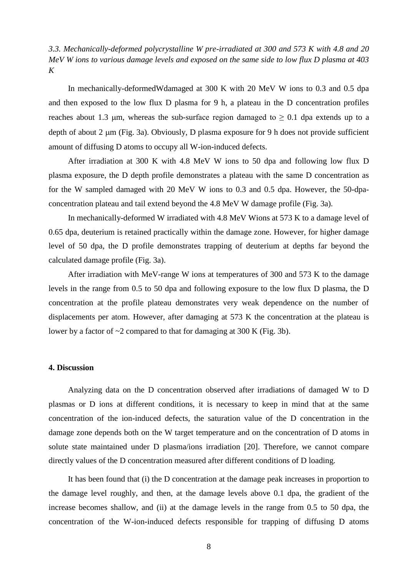*3.3. Mechanically-deformed polycrystalline W pre-irradiated at 300 and 573 K with 4.8 and 20 MeV W ions to various damage levels and exposed on the same side to low flux D plasma at 403 K*

In mechanically-deformedWdamaged at 300 K with 20 MeV W ions to 0.3 and 0.5 dpa and then exposed to the low flux D plasma for 9 h, a plateau in the D concentration profiles reaches about 1.3  $\mu$ m, whereas the sub-surface region damaged to  $\geq 0.1$  dpa extends up to a depth of about 2  $\mu$ m (Fig. 3a). Obviously, D plasma exposure for 9 h does not provide sufficient amount of diffusing D atoms to occupy all W-ion-induced defects.

After irradiation at 300 K with 4.8 MeV W ions to 50 dpa and following low flux D plasma exposure, the D depth profile demonstrates a plateau with the same D concentration as for the W sampled damaged with 20 MeV W ions to 0.3 and 0.5 dpa. However, the 50-dpaconcentration plateau and tail extend beyond the 4.8 MeV W damage profile (Fig. 3a).

In mechanically-deformed W irradiated with 4.8 MeV Wions at 573 K to a damage level of 0.65 dpa, deuterium is retained practically within the damage zone. However, for higher damage level of 50 dpa, the D profile demonstrates trapping of deuterium at depths far beyond the calculated damage profile (Fig. 3a).

After irradiation with MeV-range W ions at temperatures of 300 and 573 K to the damage levels in the range from 0.5 to 50 dpa and following exposure to the low flux D plasma, the D concentration at the profile plateau demonstrates very weak dependence on the number of displacements per atom. However, after damaging at 573 K the concentration at the plateau is lower by a factor of ~2 compared to that for damaging at 300 K (Fig. 3b).

# **4. Discussion**

Analyzing data on the D concentration observed after irradiations of damaged W to D plasmas or D ions at different conditions, it is necessary to keep in mind that at the same concentration of the ion-induced defects, the saturation value of the D concentration in the damage zone depends both on the W target temperature and on the concentration of D atoms in solute state maintained under D plasma/ions irradiation [20]. Therefore, we cannot compare directly values of the D concentration measured after different conditions of D loading.

It has been found that (i) the D concentration at the damage peak increases in proportion to the damage level roughly, and then, at the damage levels above 0.1 dpa, the gradient of the increase becomes shallow, and (ii) at the damage levels in the range from 0.5 to 50 dpa, the concentration of the W-ion-induced defects responsible for trapping of diffusing D atoms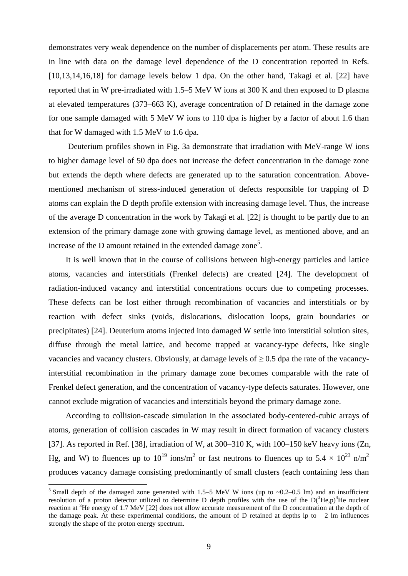demonstrates very weak dependence on the number of displacements per atom. These results are in line with data on the damage level dependence of the D concentration reported in Refs. [10,13,14,16,18] for damage levels below 1 dpa. On the other hand, Takagi et al. [22] have reported that in W pre-irradiated with 1.5–5 MeV W ions at 300 K and then exposed to D plasma at elevated temperatures (373–663 K), average concentration of D retained in the damage zone for one sample damaged with 5 MeV W ions to 110 dpa is higher by a factor of about 1.6 than that for W damaged with 1.5 MeV to 1.6 dpa.

Deuterium profiles shown in Fig. 3a demonstrate that irradiation with MeV-range W ions to higher damage level of 50 dpa does not increase the defect concentration in the damage zone but extends the depth where defects are generated up to the saturation concentration. Abovementioned mechanism of stress-induced generation of defects responsible for trapping of D atoms can explain the D depth profile extension with increasing damage level. Thus, the increase of the average D concentration in the work by Takagi et al. [22] is thought to be partly due to an extension of the primary damage zone with growing damage level, as mentioned above, and an increase of the  $D$  amount retained in the extended damage zone<sup>5</sup>.

It is well known that in the course of collisions between high-energy particles and lattice atoms, vacancies and interstitials (Frenkel defects) are created [24]. The development of radiation-induced vacancy and interstitial concentrations occurs due to competing processes. These defects can be lost either through recombination of vacancies and interstitials or by reaction with defect sinks (voids, dislocations, dislocation loops, grain boundaries or precipitates) [24]. Deuterium atoms injected into damaged W settle into interstitial solution sites, diffuse through the metal lattice, and become trapped at vacancy-type defects, like single vacancies and vacancy clusters. Obviously, at damage levels of  $\geq 0.5$  dpa the rate of the vacancyinterstitial recombination in the primary damage zone becomes comparable with the rate of Frenkel defect generation, and the concentration of vacancy-type defects saturates. However, one cannot exclude migration of vacancies and interstitials beyond the primary damage zone.

According to collision-cascade simulation in the associated body-centered-cubic arrays of atoms, generation of collision cascades in W may result in direct formation of vacancy clusters [37]. As reported in Ref. [38], irradiation of W, at 300–310 K, with 100–150 keV heavy ions (Zn, Hg, and W) to fluences up to  $10^{19}$  ions/m<sup>2</sup> or fast neutrons to fluences up to 5.4  $\times$  10<sup>23</sup> n/m<sup>2</sup> produces vacancy damage consisting predominantly of small clusters (each containing less than

<sup>&</sup>lt;sup>5</sup> Small depth of the damaged zone generated with 1.5–5 MeV W ions (up to  $\sim$ 0.2–0.5 lm) and an insufficient resolution of a proton detector utilized to determine D depth profiles with the use of the  $D(^{3}He,p)^{4}He$  nuclear reaction at <sup>3</sup>He energy of 1.7 MeV [22] does not allow accurate measurement of the D concentration at the depth of the damage peak. At these experimental conditions, the amount of D retained at depths lp to 2 lm influences strongly the shape of the proton energy spectrum.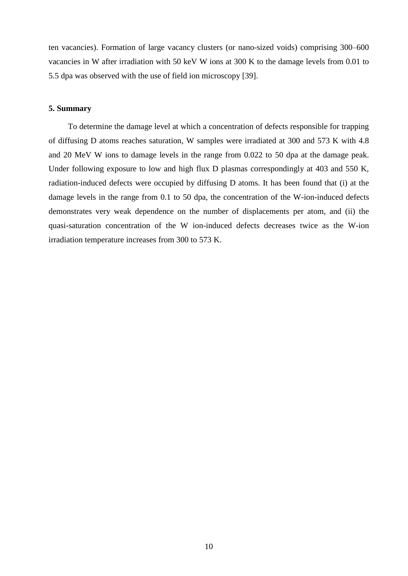ten vacancies). Formation of large vacancy clusters (or nano-sized voids) comprising 300–600 vacancies in W after irradiation with 50 keV W ions at 300 K to the damage levels from 0.01 to 5.5 dpa was observed with the use of field ion microscopy [39].

### **5. Summary**

To determine the damage level at which a concentration of defects responsible for trapping of diffusing D atoms reaches saturation, W samples were irradiated at 300 and 573 K with 4.8 and 20 MeV W ions to damage levels in the range from 0.022 to 50 dpa at the damage peak. Under following exposure to low and high flux D plasmas correspondingly at 403 and 550 K, radiation-induced defects were occupied by diffusing D atoms. It has been found that (i) at the damage levels in the range from 0.1 to 50 dpa, the concentration of the W-ion-induced defects demonstrates very weak dependence on the number of displacements per atom, and (ii) the quasi-saturation concentration of the W ion-induced defects decreases twice as the W-ion irradiation temperature increases from 300 to 573 K.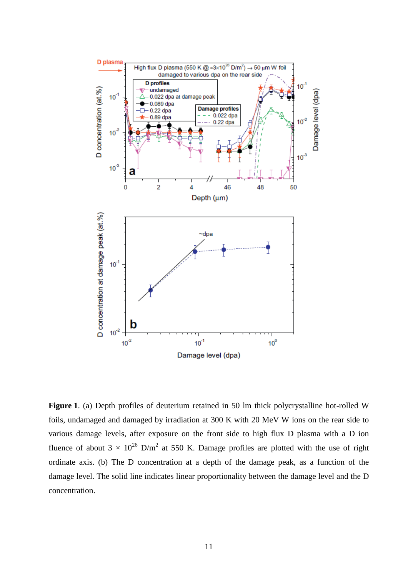

**Figure 1**. (a) Depth profiles of deuterium retained in 50 lm thick polycrystalline hot-rolled W foils, undamaged and damaged by irradiation at 300 K with 20 MeV W ions on the rear side to various damage levels, after exposure on the front side to high flux D plasma with a D ion fluence of about  $3 \times 10^{26}$  D/m<sup>2</sup> at 550 K. Damage profiles are plotted with the use of right ordinate axis. (b) The D concentration at a depth of the damage peak, as a function of the damage level. The solid line indicates linear proportionality between the damage level and the D concentration.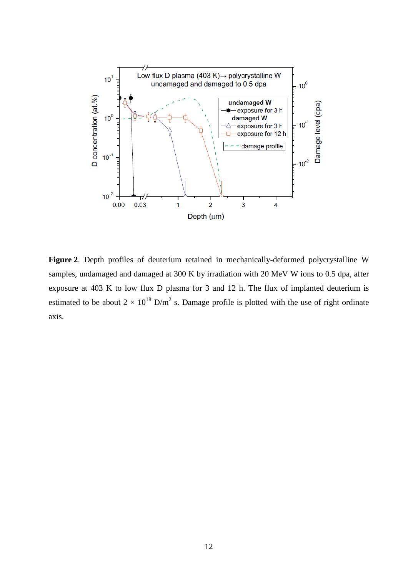

**Figure 2**. Depth profiles of deuterium retained in mechanically-deformed polycrystalline W samples, undamaged and damaged at 300 K by irradiation with 20 MeV W ions to 0.5 dpa, after exposure at 403 K to low flux D plasma for 3 and 12 h. The flux of implanted deuterium is estimated to be about  $2 \times 10^{18}$  D/m<sup>2</sup> s. Damage profile is plotted with the use of right ordinate axis.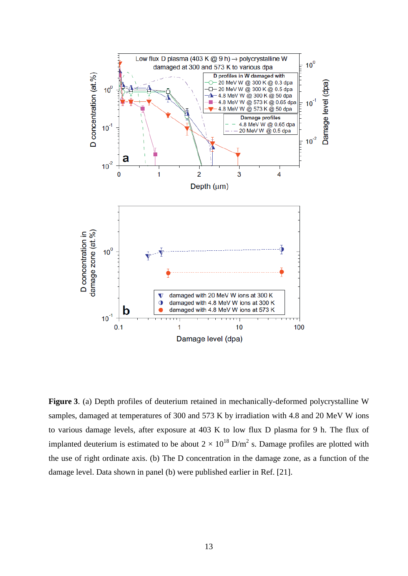

**Figure 3**. (a) Depth profiles of deuterium retained in mechanically-deformed polycrystalline W samples, damaged at temperatures of 300 and 573 K by irradiation with 4.8 and 20 MeV W ions to various damage levels, after exposure at 403 K to low flux D plasma for 9 h. The flux of implanted deuterium is estimated to be about  $2 \times 10^{18}$  D/m<sup>2</sup> s. Damage profiles are plotted with the use of right ordinate axis. (b) The D concentration in the damage zone, as a function of the damage level. Data shown in panel (b) were published earlier in Ref. [21].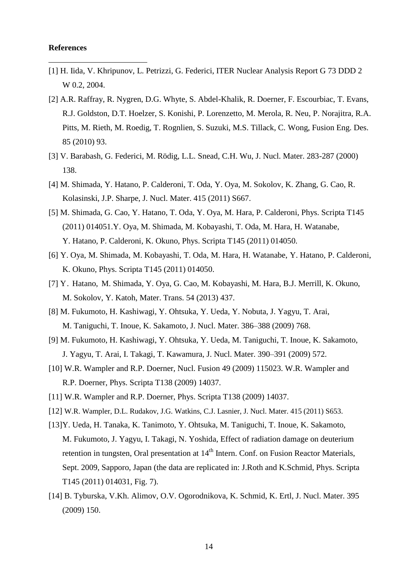### **References**

- [1] H. Iida, V. Khripunov, L. Petrizzi, G. Federici, ITER Nuclear Analysis Report G 73 DDD 2 W 0.2, 2004.
- [2] A.R. Raffray, R. Nygren, D.G. Whyte, S. Abdel-Khalik, R. Doerner, F. Escourbiac, T. Evans, R.J. Goldston, D.T. Hoelzer, S. Konishi, P. Lorenzetto, M. Merola, R. Neu, P. Norajitra, R.A. Pitts, M. Rieth, M. Roedig, T. Rognlien, S. Suzuki, M.S. Tillack, C. Wong, Fusion Eng. Des. 85 (2010) 93.
- [3] V. Barabash, G. Federici, M. Rödig, L.L. Snead, C.H. Wu, J. Nucl. Mater. 283-287 (2000) 138.
- [4] M. Shimada, Y. Hatano, P. Calderoni, T. Oda, Y. Oya, M. Sokolov, K. Zhang, G. Cao, R. Kolasinski, J.P. Sharpe, J. Nucl. Mater. 415 (2011) S667.
- [5] M. Shimada, G. Cao, Y. Hatano, T. Oda, Y. Oya, M. Hara, P. Calderoni, Phys. Scripta T145 (2011) 014051.Y. Oya, M. Shimada, M. Kobayashi, T. Oda, M. Hara, H. Watanabe, Y. Hatano, P. Calderoni, K. Okuno, Phys. Scripta T145 (2011) 014050.
- [6] Y. Oya, M. Shimada, M. Kobayashi, T. Oda, M. Hara, H. Watanabe, Y. Hatano, P. Calderoni, K. Okuno, Phys. Scripta T145 (2011) 014050.
- [7] Y. Hatano, M. Shimada, Y. Oya, G. Cao, M. Kobayashi, M. Hara, B.J. Merrill, K. Okuno, M. Sokolov, Y. Katoh, Mater. Trans. 54 (2013) 437.
- [8] M. Fukumoto, H. Kashiwagi, Y. Ohtsuka, Y. Ueda, Y. Nobuta, J. Yagyu, T. Arai, M. Taniguchi, T. Inoue, K. Sakamoto, J. Nucl. Mater. 386–388 (2009) 768.
- [9] M. Fukumoto, H. Kashiwagi, Y. Ohtsuka, Y. Ueda, M. Taniguchi, T. Inoue, K. Sakamoto, J. Yagyu, T. Arai, I. Takagi, T. Kawamura, J. Nucl. Mater. 390–391 (2009) 572.
- [10] W.R. Wampler and R.P. Doerner, Nucl. Fusion 49 (2009) 115023. W.R. Wampler and R.P. Doerner, Phys. Scripta T138 (2009) 14037.
- [11] W.R. Wampler and R.P. Doerner, Phys. Scripta T138 (2009) 14037.
- [12] W.R. Wampler, D.L. Rudakov, J.G. Watkins, C.J. Lasnier, J. Nucl. Mater. 415 (2011) S653.
- [13]Y. Ueda, H. Tanaka, K. Tanimoto, Y. Ohtsuka, M. Taniguchi, T. Inoue, K. Sakamoto, M. Fukumoto, J. Yagyu, I. Takagi, N. Yoshida, Effect of radiation damage on deuterium retention in tungsten, Oral presentation at 14<sup>th</sup> Intern. Conf. on Fusion Reactor Materials, Sept. 2009, Sapporo, Japan (the data are replicated in: J.Roth and K.Schmid, Phys. Scripta T145 (2011) 014031, Fig. 7).
- [14] B. Tyburska, V.Kh. Alimov, O.V. Ogorodnikova, K. Schmid, K. Ertl, J. Nucl. Mater. 395 (2009) 150.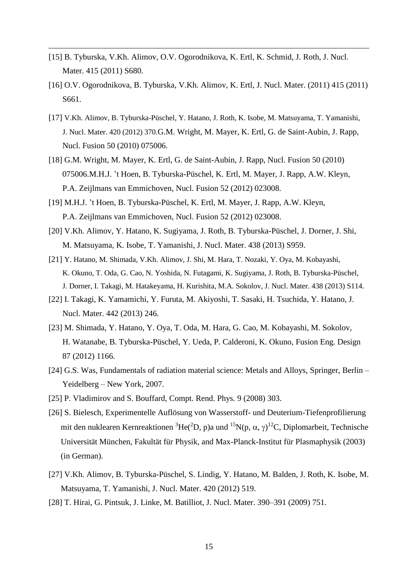[15] B. Tyburska, V.Kh. Alimov, O.V. Ogorodnikova, K. Ertl, K. Schmid, J. Roth, J. Nucl. Mater. 415 (2011) S680.

- [16] O.V. Ogorodnikova, B. Tyburska, V.Kh. Alimov, K. Ertl, J. Nucl. Mater. (2011) 415 (2011) S661.
- [17] V.Kh. Alimov, B. Tyburska-Püschel, Y. Hatano, J. Roth, K. Isobe, M. Matsuyama, T. Yamanishi, J. Nucl. Mater. 420 (2012) 370.G.M. Wright, M. Mayer, K. Ertl, G. de Saint-Aubin, J. Rapp, Nucl. Fusion 50 (2010) 075006.
- [18] G.M. Wright, M. Mayer, K. Ertl, G. de Saint-Aubin, J. Rapp, Nucl. Fusion 50 (2010) 075006.M.H.J. 't Hoen, B. Tyburska-Püschel, K. Ertl, M. Mayer, J. Rapp, A.W. Kleyn, P.A. Zeijlmans van Emmichoven, Nucl. Fusion 52 (2012) 023008.
- [19] M.H.J. 't Hoen, B. Tyburska-Püschel, K. Ertl, M. Mayer, J. Rapp, A.W. Kleyn, P.A. Zeijlmans van Emmichoven, Nucl. Fusion 52 (2012) 023008.
- [20] V.Kh. Alimov, Y. Hatano, K. Sugiyama, J. Roth, B. Tyburska-Püschel, J. Dorner, J. Shi, M. Matsuyama, K. Isobe, T. Yamanishi, J. Nucl. Mater. 438 (2013) S959.
- [21] Y. Hatano, M. Shimada, V.Kh. Alimov, J. Shi, M. Hara, T. Nozaki, Y. Oya, M. Kobayashi, K. Okuno, T. Oda, G. Cao, N. Yoshida, N. Futagami, K. Sugiyama, J. Roth, B. Tyburska-Püschel, J. Dorner, I. Takagi, M. Hatakeyama, H. Kurishita, M.A. Sokolov, J. Nucl. Mater. 438 (2013) S114.
- [22] I. Takagi, K. Yamamichi, Y. Furuta, M. Akiyoshi, T. Sasaki, H. Tsuchida, Y. Hatano, J. Nucl. Mater. 442 (2013) 246.
- [23] M. Shimada, Y. Hatano, Y. Oya, T. Oda, M. Hara, G. Cao, M. Kobayashi, M. Sokolov, H. Watanabe, B. Tyburska-Püschel, Y. Ueda, P. Calderoni, K. Okuno, Fusion Eng. Design 87 (2012) 1166.
- [24] G.S. Was, Fundamentals of radiation material science: Metals and Alloys, Springer, Berlin Yeidelberg – New York, 2007.
- [25] P. Vladimirov and S. Bouffard, Compt. Rend. Phys. 9 (2008) 303.
- [26] S. Bielesch, Experimentelle Auflösung von Wasserstoff- und Deuterium-Tiefenprofilierung mit den nuklearen Kernreaktionen  ${}^{3}$ He( ${}^{2}$ D, p)a und  ${}^{15}N(p, \alpha, \gamma)$ <sup>12</sup>C, Diplomarbeit, Technische Universität München, Fakultät für Physik, and Max-Planck-Institut für Plasmaphysik (2003) (in German).
- [27] V.Kh. Alimov, B. Tyburska-Püschel, S. Lindig, Y. Hatano, M. Balden, J. Roth, K. Isobe, M. Matsuyama, T. Yamanishi, J. Nucl. Mater. 420 (2012) 519.
- [28] T. Hirai, G. Pintsuk, J. Linke, M. Batilliot, J. Nucl. Mater. 390–391 (2009) 751.